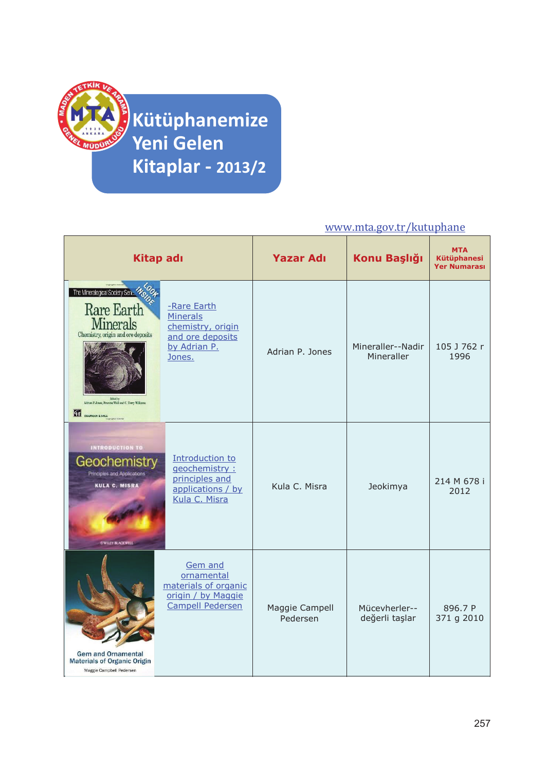

**Kütüphanemize Yeni Gelen Kitaplar - 2013/2**

## www.mta.gov.tr/kutuphane

| Kitap adı                                                                                                                                                                                                     |                                                                                                   | <b>Yazar Adı</b>           | Konu Başlığı                    | <b>MTA</b><br><b>Kütüphanesi</b><br><b>Yer Numarası</b> |
|---------------------------------------------------------------------------------------------------------------------------------------------------------------------------------------------------------------|---------------------------------------------------------------------------------------------------|----------------------------|---------------------------------|---------------------------------------------------------|
| The Mineralogical Society Series Monday<br><b>Rare Earth</b><br><b>Minerals</b><br>Chemistry, origin and ore deposits<br>Edited by<br>Adrian P Jones, Frances Wall and C. Terry Williams<br>CH CHAPMAN & HALL | -Rare Earth<br><b>Minerals</b><br>chemistry, origin<br>and ore deposits<br>by Adrian P.<br>Jones. | Adrian P. Jones            | Mineraller--Nadir<br>Mineraller | 105 J 762 r<br>1996                                     |
| <b>INTRODUCTION TO</b><br>Geochemistry<br><b>Principles and Applications</b><br><b>KULA C. MISRA</b><br><b><i>SWILLY-RACKWELL</i></b>                                                                         | Introduction to<br>geochemistry:<br>principles and<br>applications / by<br>Kula C. Misra          | Kula C. Misra              | Jeokimya                        | 214 M 678 i<br>2012                                     |
| <b>Gem and Ornamental</b><br><b>Materials of Organic Origin</b><br>Maggie Campbell Pedersen                                                                                                                   | Gem and<br>ornamental<br>materials of organic<br>origin / by Maggie<br><b>Campell Pedersen</b>    | Maggie Campell<br>Pedersen | Mücevherler--<br>değerli taşlar | 896.7 P<br>371 g 2010                                   |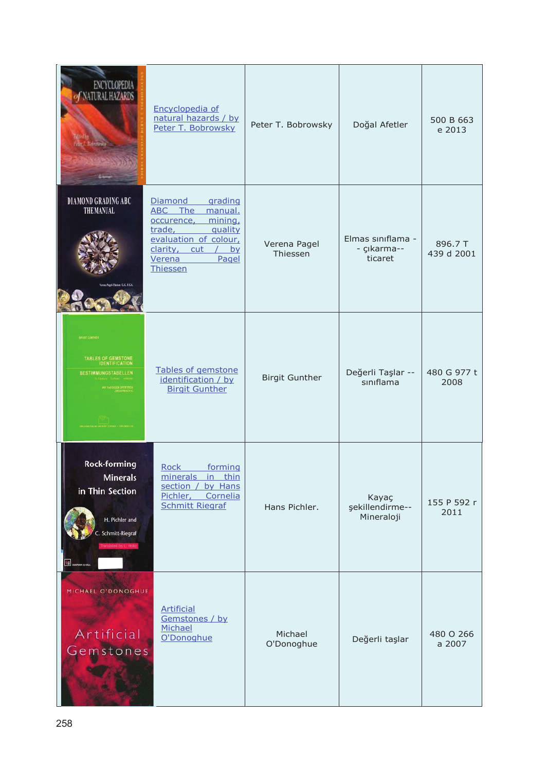| ENCYCLOPEDIA<br>NATURAL HAZARDS                                                                                                               | Encyclopedia of<br>natural hazards / by<br>Peter T. Bobrowsky                                                                                                                         | Peter T. Bobrowsky       | Doğal Afetler                               | 500 B 663<br>e 2013   |
|-----------------------------------------------------------------------------------------------------------------------------------------------|---------------------------------------------------------------------------------------------------------------------------------------------------------------------------------------|--------------------------|---------------------------------------------|-----------------------|
| <b>DIAMOND GRADING ABC</b><br>THE MANUAL                                                                                                      | Diamond<br>grading<br>ABC The<br>manual.<br>mining,<br>occurence,<br>trade,<br>quality<br>evaluation of colour,<br>clarity,<br>cut<br>by<br>$\sqrt{2}$<br>Verena<br>Pagel<br>Thiessen | Verena Pagel<br>Thiessen | Elmas siniflama -<br>- çıkarma--<br>ticaret | 896.7 T<br>439 d 2001 |
| HRGIT GÚNTHEF<br>TABLES OF GEMSTONE<br>IDENTIFICATION<br><b>BESTIMMUNGSTABELLEN</b>                                                           | Tables of gemstone<br>identification / by<br><b>Birgit Gunther</b>                                                                                                                    | <b>Birgit Gunther</b>    | Değerli Taşlar --<br>sınıflama              | 480 G 977 t<br>2008   |
| <b>Rock-forming</b><br><b>Minerals</b><br>in Thin Section<br>H. Pichler and<br>Schmitt-Riegraf<br>ranslated by L. Hoke<br><b>II</b> GUNNA AND | <b>Rock</b><br>forming<br>minerals<br>in thin<br>section /<br>by Hans<br>Pichler, Cornelia<br><b>Schmitt Riegraf</b>                                                                  | Hans Pichler.            | Kayaç<br>şekillendirme--<br>Mineraloji      | 155 P 592 r<br>2011   |
| MICHAEL O'DONOGHUE<br>Artificial<br>Gemstones                                                                                                 | <b>Artificial</b><br>Gemstones / by<br>Michael<br>O'Donoghue                                                                                                                          | Michael<br>O'Donoghue    | Değerli taşlar                              | 480 O 266<br>a 2007   |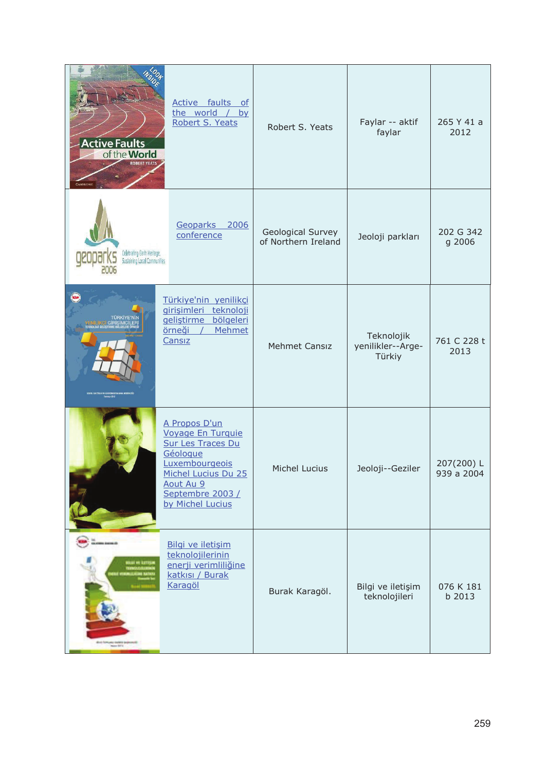| <b>Active Faults</b><br>of the <b>World</b>                       | Active faults<br><sub>of</sub><br>the world / by<br>Robert S. Yeats                                                                                                      | Robert S. Yeats                          | Faylar -- aktif<br>faylar                 | 265 Y 41 a<br>2012       |
|-------------------------------------------------------------------|--------------------------------------------------------------------------------------------------------------------------------------------------------------------------|------------------------------------------|-------------------------------------------|--------------------------|
| Celebrating Earth Heilage,<br><b>Sustaining Local Communities</b> | Geoparks 2006<br>conference                                                                                                                                              | Geological Survey<br>of Northern Ireland | Jeoloji parkları                          | 202 G 342<br>g 2006      |
| türkiye'nii                                                       | Türkiye'nin yenilikçi<br>girişimleri teknoloji<br>gelistirme<br>bölgeleri<br>örneği<br>Mehmet<br>$\sqrt{ }$<br>Cansız                                                    | <b>Mehmet Cansız</b>                     | Teknolojik<br>yenilikler--Arge-<br>Türkiy | 761 C 228 t<br>2013      |
|                                                                   | A Propos D'un<br>Voyage En Turquie<br><b>Sur Les Traces Du</b><br>Géologue<br>Luxembourgeois<br>Michel Lucius Du 25<br>Aout Au 9<br>Septembre 2003 /<br>by Michel Lucius | Michel Lucius                            | Jeoloji--Geziler                          | 207(200) L<br>939 a 2004 |
| our et lumpe                                                      | Bilgi ve iletişim<br>teknolojilerinin<br>enerji verimliliğine<br>katkısı / Burak<br>Karagöl                                                                              | Burak Karagöl.                           | Bilgi ve iletişim<br>teknolojileri        | 076 K 181<br>b 2013      |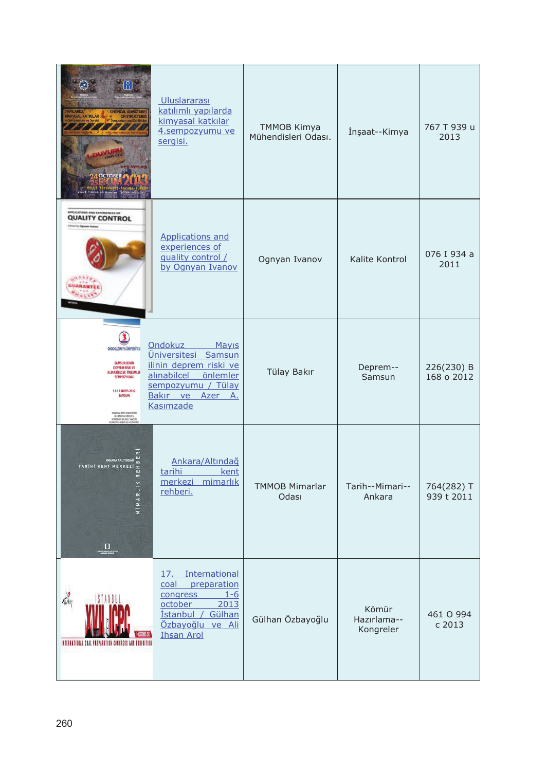| <b>CHEMICAL ADMIXTURE</b><br>ON STRUCTURES<br><b>IMYASAL KATKILAR</b><br>$\sqrt{1111}$                                                                                                                                                                                              | <b>Uluslararası</b><br>katılımlı yapılarda<br>kimyasal katkılar<br>4.sempozyumu ve<br>sergisi.                                                                             | <b>TMMOB Kimya</b><br>Mühendisleri Odası. | İnşaat--Kimya                     | 767 T 939 u<br>2013      |
|-------------------------------------------------------------------------------------------------------------------------------------------------------------------------------------------------------------------------------------------------------------------------------------|----------------------------------------------------------------------------------------------------------------------------------------------------------------------------|-------------------------------------------|-----------------------------------|--------------------------|
| <b>FUEL-TIONS AND EXPERIENCES OF</b><br><b>QUALITY CONTROL</b>                                                                                                                                                                                                                      | <b>Applications and</b><br>experiences of<br>quality control /<br>by Ognyan Ivanov                                                                                         | Ognyan Ivanov                             | Kalite Kontrol                    | 076 I 934 a<br>2011      |
| <b>ONDOKUZ MAYIS ÜNİVERSİTESİ</b><br><b>SAMSUN İLİNİN</b><br><b>DEPREM RÍSKÍ VE</b><br>ALINABİLECEK ÖNLEMLER<br>SEMPOZYUMU<br>11-12 MAYIS 2012<br><b>SAMSUN</b><br>CINDORUZ MAYS ÜNIVERSITESİ<br>MOHENDISLIK FAKÜLTESİ<br>KONFERANS SALONU- SAMSUN<br>achoed are restyred, un visue | <b>Ondokuz</b><br>Mayıs<br><u>Üniversitesi</u><br>Samsun<br>ilinin deprem riski ve<br>alınabilcel<br>önlemler<br>sempozyumu / Tülay<br>Bakır ve<br>Azer<br>Α.<br>Kasımzade | Tülay Bakır                               | Deprem--<br>Samsun                | 226(230) B<br>168 o 2012 |
| TARIHI KENT MERKEZI<br>⋝<br>$\Box$                                                                                                                                                                                                                                                  | Ankara/Altındağ<br>kent<br>tarihi<br>mimarlık<br>merkezi<br>rehberi.                                                                                                       | <b>TMMOB Mimarlar</b><br>Odası            | Tarih--Mimari--<br>Ankara         | 764(282) T<br>939 t 2011 |
| INTERNATIONAL COAL PREPARATION CONGRESS AND EXHIBITION                                                                                                                                                                                                                              | International<br>17.<br>coal<br>preparation<br>$1 - 6$<br>congress<br>october<br>2013<br><i>istanbul</i> /<br>Gülhan<br>Özbayoğlu ve Ali<br><b>Ihsan Arol</b>              | Gülhan Özbayoğlu                          | Kömür<br>Hazırlama--<br>Kongreler | 461 O 994<br>c 2013      |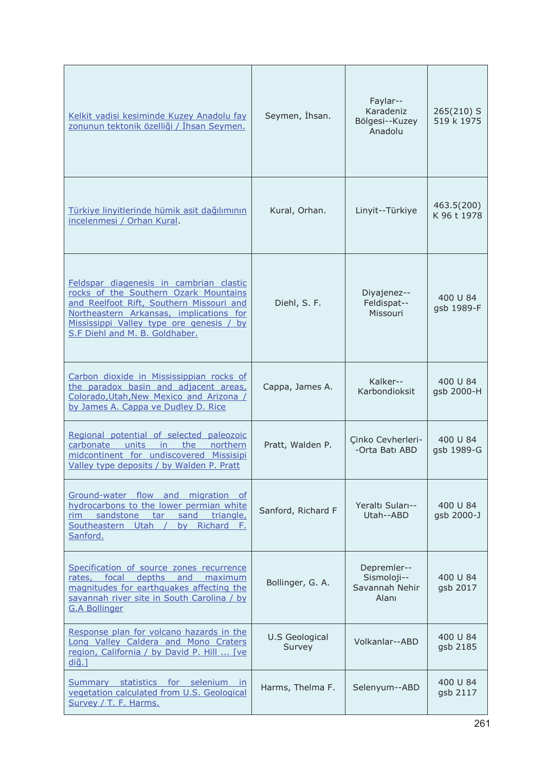| Kelkit vadisi kesiminde Kuzey Anadolu fay<br>zonunun tektonik özelliği / İhsan Seymen.                                                                                                                                                                | Seymen, İhsan.           | Faylar--<br>Karadeniz<br>Bölgesi--Kuzey<br>Anadolu    | 265(210) S<br>519 k 1975  |
|-------------------------------------------------------------------------------------------------------------------------------------------------------------------------------------------------------------------------------------------------------|--------------------------|-------------------------------------------------------|---------------------------|
| Türkiye linyitlerinde hümik asit dağılımının<br>incelenmesi / Orhan Kural.                                                                                                                                                                            | Kural, Orhan.            | Linyit--Türkiye                                       | 463.5(200)<br>K 96 t 1978 |
| Feldspar diagenesis in cambrian clastic<br>rocks of the Southern Ozark Mountains<br>and Reelfoot Rift, Southern Missouri and<br>Northeastern Arkansas, implications for<br>Mississippi Valley type ore genesis / by<br>S.F Diehl and M. B. Goldhaber. | Diehl, S. F.             | Diyajenez--<br>Feldispat--<br>Missouri                | 400 U 84<br>gsb 1989-F    |
| Carbon dioxide in Mississippian rocks of<br>the paradox basin and adjacent areas,<br>Colorado, Utah, New Mexico and Arizona /<br>by James A. Cappa ve Dudley D. Rice                                                                                  | Cappa, James A.          | Kalker--<br>Karbondioksit                             | 400 U 84<br>gsb 2000-H    |
| Regional potential of selected paleozoic<br>units<br>carbonate<br>the<br>northern<br>in.<br>midcontinent for undiscovered Missisipi<br>Valley type deposits / by Walden P. Pratt                                                                      | Pratt, Walden P.         | Cinko Cevherleri-<br>-Orta Batı ABD                   | 400 U 84<br>gsb 1989-G    |
| Ground-water flow and migration of<br>hydrocarbons to the lower permian white<br>rim sandstone<br>triangle,<br>sand<br>tar<br>Southeastern Utah<br>Richard F.<br>by<br>Sanford.                                                                       | Sanford, Richard F       | Yeraltı Suları--<br>Utah--ABD                         | 400 U 84<br>gsb 2000-J    |
| Specification of source zones recurrence<br>rates, focal depths and maximum<br>magnitudes for earthquakes affecting the<br>savannah river site in South Carolina / by<br><b>G.A Bollinger</b>                                                         | Bollinger, G. A.         | Depremler--<br>Sismoloji--<br>Savannah Nehir<br>Alanı | 400 U 84<br>gsb 2017      |
| Response plan for volcano hazards in the<br>Long Valley Caldera and Mono Craters<br>region, California / by David P. Hill  [ve<br>$di\breve{q}.$                                                                                                      | U.S Geological<br>Survey | Volkanlar--ABD                                        | 400 U 84<br>gsb 2185      |
| Summary statistics for selenium in<br>vegetation calculated from U.S. Geological<br>Survey / T. F. Harms.                                                                                                                                             | Harms, Thelma F.         | Selenyum--ABD                                         | 400 U 84<br>gsb 2117      |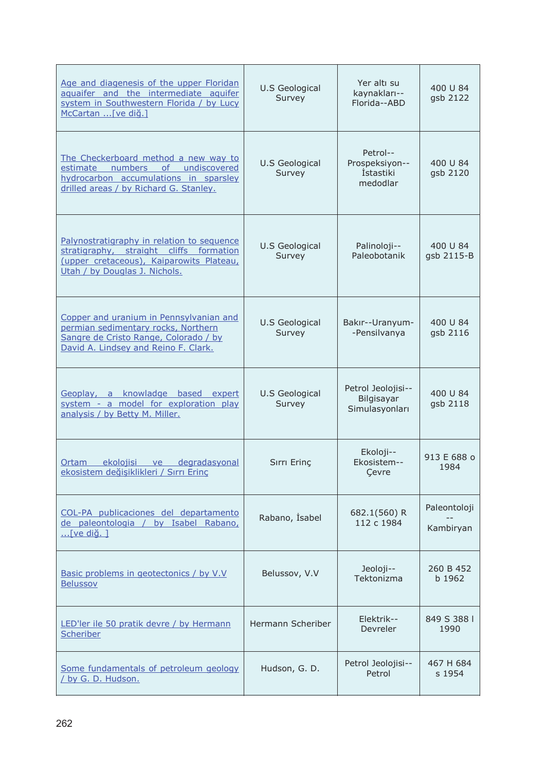| Age and diagenesis of the upper Floridan<br>aquaifer and the intermediate aquifer<br>system in Southwestern Florida / by Lucy<br>McCartan  [ve diğ.]               | U.S Geological<br>Survey        | Yer altı su<br>kaynakları--<br>Florida--ABD                | 400 U 84<br>gsb 2122      |
|--------------------------------------------------------------------------------------------------------------------------------------------------------------------|---------------------------------|------------------------------------------------------------|---------------------------|
| The Checkerboard method a new way to<br>estimate numbers<br>of undiscovered<br>hydrocarbon accumulations in sparsley<br>drilled areas / by Richard G. Stanley.     | <b>U.S Geological</b><br>Survey | Petrol--<br>Prospeksiyon--<br><b>İstastiki</b><br>medodlar | 400 U 84<br>gsb 2120      |
| Palynostratigraphy in relation to sequence<br>stratigraphy, straight cliffs formation<br>(upper cretaceous), Kaiparowits Plateau,<br>Utah / by Douglas J. Nichols. | U.S Geological<br>Survey        | Palinoloji--<br>Paleobotanik                               | 400 U 84<br>gsb 2115-B    |
| Copper and uranium in Pennsylvanian and<br>permian sedimentary rocks, Northern<br>Sangre de Cristo Range, Colorado / by<br>David A. Lindsey and Reino F. Clark.    | U.S Geological<br>Survey        | Bakır--Uranyum-<br>-Pensilvanya                            | 400 U 84<br>gsb 2116      |
| Geoplay, a knowladge based expert<br>system - a model for exploration play<br>analysis / by Betty M. Miller.                                                       | <b>U.S Geological</b><br>Survey | Petrol Jeolojisi--<br>Bilgisayar<br>Simulasyonları         | 400 U 84<br>gsb 2118      |
| Ortam ekolojisi ve degradasyonal<br>ekosistem değişiklikleri / Sırrı Erinç                                                                                         | Sırrı Erinc                     | Ekoloji--<br>Ekosistem--<br>Cevre                          | 913 E 688 o<br>1984       |
| COL-PA publicaciones del departamento<br>de paleontologia / by Isabel Rabano,<br>[ve diğ. 1                                                                        | Rabano, İsabel                  | 682.1(560) R<br>112 c 1984                                 | Paleontoloji<br>Kambiryan |
| Basic problems in geotectonics / by V.V<br><b>Belussov</b>                                                                                                         | Belussov, V.V                   | Jeoloji--<br>Tektonizma                                    | 260 B 452<br>b 1962       |
| LED'ler ile 50 pratik devre / by Hermann<br>Scheriber                                                                                                              | Hermann Scheriber               | Elektrik--<br>Devreler                                     | 849 S 388 I<br>1990       |
| Some fundamentals of petroleum geology<br>/ by G. D. Hudson.                                                                                                       | Hudson, G. D.                   | Petrol Jeolojisi--<br>Petrol                               | 467 H 684<br>s 1954       |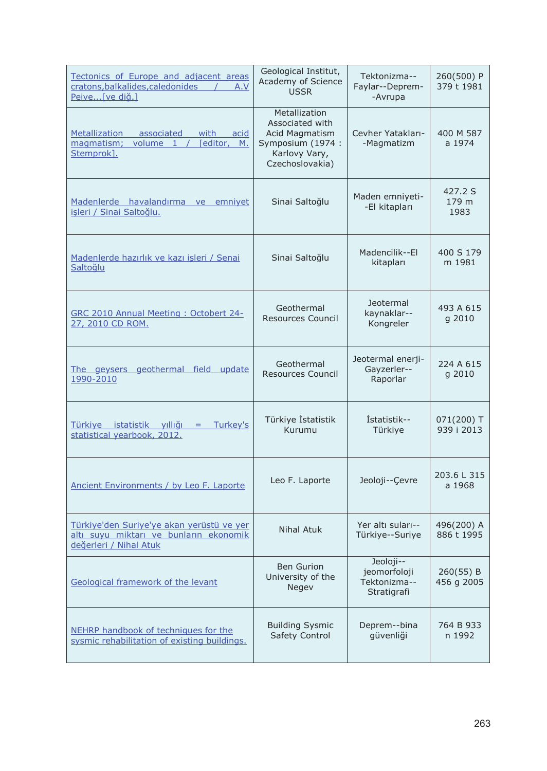| Tectonics of Europe and adjacent areas<br>cratons, balkalides, caledonides<br>A.V<br>Peive[ve diğ.]           | Geological Institut,<br>Academy of Science<br><b>USSR</b>                                                   | Tektonizma--<br>Faylar--Deprem-<br>-Avrupa               | 260(500) P<br>379 t 1981   |
|---------------------------------------------------------------------------------------------------------------|-------------------------------------------------------------------------------------------------------------|----------------------------------------------------------|----------------------------|
| Metallization associated<br>with acid<br>[editor, M.<br>magmatism;<br>volume 1 /<br>Stemprok].                | Metallization<br>Associated with<br>Acid Magmatism<br>Symposium (1974 :<br>Karlovy Vary,<br>Czechoslovakia) | Cevher Yatakları-<br>-Magmatizm                          | 400 M 587<br>a 1974        |
| Madenlerde havalandırma ve emniyet<br>isleri / Sinai Saltoğlu.                                                | Sinai Saltoğlu                                                                                              | Maden emniyeti-<br>-El kitapları                         | 427.2 S<br>179 m<br>1983   |
| Madenlerde hazırlık ve kazı işleri / Senai<br>Saltoğlu                                                        | Sinai Saltoğlu                                                                                              | Madencilik--El<br>kitapları                              | 400 S 179<br>m 1981        |
| GRC 2010 Annual Meeting: Octobert 24-<br>27, 2010 CD ROM.                                                     | Geothermal<br>Resources Council                                                                             | Jeotermal<br>kaynaklar--<br>Kongreler                    | 493 A 615<br>g 2010        |
| The geysers geothermal field update<br>1990-2010                                                              | Geothermal<br><b>Resources Council</b>                                                                      | Jeotermal enerji-<br>Gayzerler--<br>Raporlar             | 224 A 615<br>g 2010        |
| Türkiye istatistik yıllığı<br>Turkey's<br>$=$<br>statistical yearbook, 2012.                                  | Türkiye İstatistik<br>Kurumu                                                                                | Istatistik--<br>Türkiye                                  | $071(200)$ T<br>939 i 2013 |
| Ancient Environments / by Leo F. Laporte                                                                      | Leo F. Laporte                                                                                              | Jeoloji--Çevre                                           | 203.6 L 315<br>a 1968      |
| Türkiye'den Suriye'ye akan yerüstü ve yer<br>altı suyu miktarı ve bunların ekonomik<br>değerleri / Nihal Atuk | Nihal Atuk                                                                                                  | Yer altı suları--<br>Türkiye--Suriye                     | 496(200) A<br>886 t 1995   |
| <b>Geological framework of the levant</b>                                                                     | <b>Ben Gurion</b><br>University of the<br>Negev                                                             | Jeoloji--<br>jeomorfoloji<br>Tektonizma--<br>Stratigrafi | 260(55) B<br>456 g 2005    |
| NEHRP handbook of techniques for the<br>sysmic rehabilitation of existing buildings.                          | <b>Building Sysmic</b><br>Safety Control                                                                    | Deprem--bina<br>güvenliği                                | 764 B 933<br>n 1992        |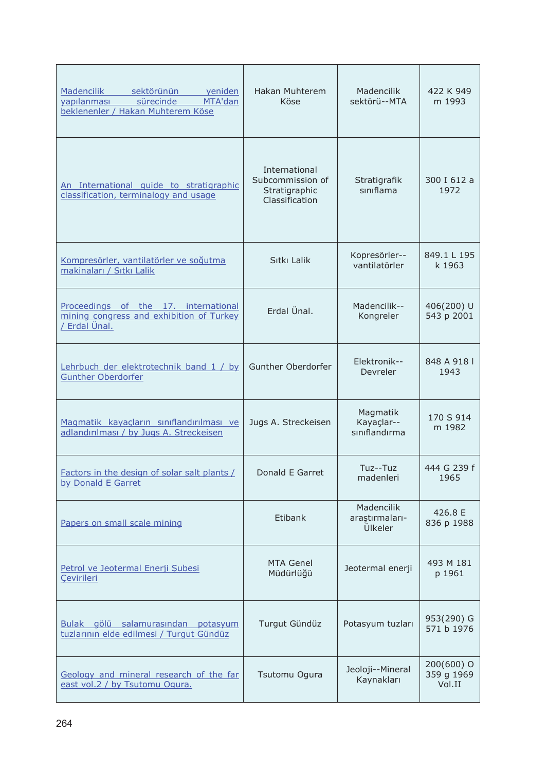| <b>Madencilik</b><br>sektörünün<br>veniden<br>sürecinde<br>MTA'dan<br>vapılanması<br>beklenenler / Hakan Muhterem Köse | Hakan Muhterem<br>Köse                                               | Madencilik<br>sektörü--MTA              | 422 K 949<br>m 1993                  |
|------------------------------------------------------------------------------------------------------------------------|----------------------------------------------------------------------|-----------------------------------------|--------------------------------------|
| An International quide to stratigraphic<br>classification, terminalogy and usage                                       | International<br>Subcommission of<br>Stratigraphic<br>Classification | Stratigrafik<br>siniflama               | 300 I 612 a<br>1972                  |
| Kompresörler, vantilatörler ve soğutma<br>makinaları / Sıtkı Lalik                                                     | Sitki Lalik                                                          | Kopresörler--<br>vantilatörler          | 849.1 L 195<br>k 1963                |
| Proceedings of the 17. international<br>mining congress and exhibition of Turkey<br>/ Erdal Ünal.                      | Erdal Ünal.                                                          | Madencilik--<br>Kongreler               | 406(200) U<br>543 p 2001             |
| Lehrbuch der elektrotechnik band 1 / by<br><b>Gunther Oberdorfer</b>                                                   | Gunther Oberdorfer                                                   | Elektronik--<br>Devreler                | 848 A 918 I<br>1943                  |
| Magmatik kayacların sınıflandırılması ve<br>adlandırılması / by Jugs A. Streckeisen                                    | Jugs A. Streckeisen                                                  | Magmatik<br>Kayaçlar--<br>sınıflandırma | 170 S 914<br>m 1982                  |
| Factors in the design of solar salt plants /<br>by Donald E Garret                                                     | Donald E Garret                                                      | Tuz--Tuz<br>madenleri                   | 444 G 239 f<br>1965                  |
| Papers on small scale mining                                                                                           | Etibank                                                              | Madencilik<br>araştırmaları-<br>Ülkeler | 426.8 E<br>836 p 1988                |
| Petrol ve Jeotermal Enerji Subesi<br>Cevirileri                                                                        | <b>MTA Genel</b><br>Müdürlüğü                                        | Jeotermal enerji                        | 493 M 181<br>p 1961                  |
| gölü salamurasından potasyum<br>Bulak<br>tuzlarının elde edilmesi / Turqut Gündüz                                      | Turgut Gündüz                                                        | Potasyum tuzları                        | 953(290) G<br>571 b 1976             |
| Geology and mineral research of the far<br>east vol.2 / by Tsutomu Ogura.                                              | Tsutomu Ogura                                                        | Jeoloji--Mineral<br>Kaynakları          | $200(600)$ O<br>359 g 1969<br>Vol.II |